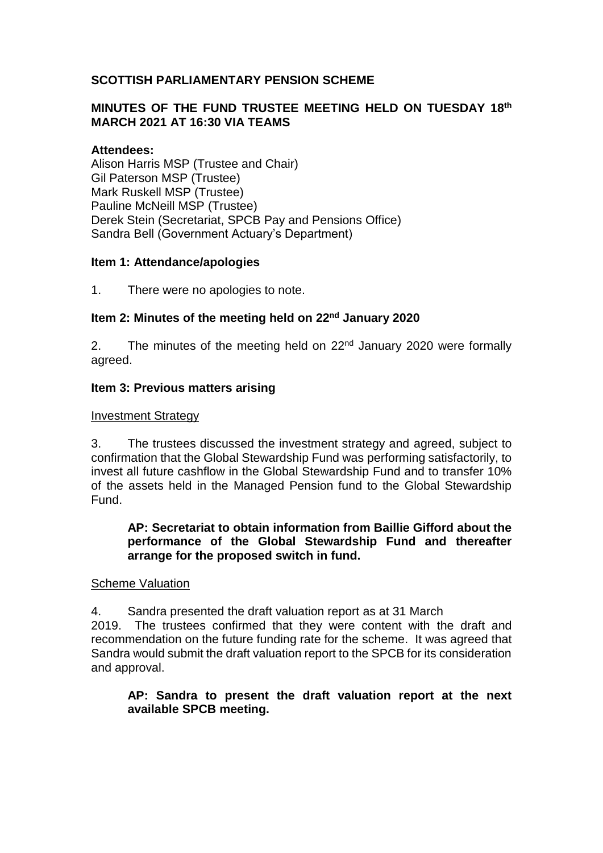# **SCOTTISH PARLIAMENTARY PENSION SCHEME**

## **MINUTES OF THE FUND TRUSTEE MEETING HELD ON TUESDAY 18th MARCH 2021 AT 16:30 VIA TEAMS**

## **Attendees:**

Alison Harris MSP (Trustee and Chair) Gil Paterson MSP (Trustee) Mark Ruskell MSP (Trustee) Pauline McNeill MSP (Trustee) Derek Stein (Secretariat, SPCB Pay and Pensions Office) Sandra Bell (Government Actuary's Department)

#### **Item 1: Attendance/apologies**

1. There were no apologies to note.

## Item 2: Minutes of the meeting held on 22<sup>nd</sup> January 2020

2. The minutes of the meeting held on 22<sup>nd</sup> January 2020 were formally agreed.

#### **Item 3: Previous matters arising**

#### Investment Strategy

3. The trustees discussed the investment strategy and agreed, subject to confirmation that the Global Stewardship Fund was performing satisfactorily, to invest all future cashflow in the Global Stewardship Fund and to transfer 10% of the assets held in the Managed Pension fund to the Global Stewardship Fund.

## **AP: Secretariat to obtain information from Baillie Gifford about the performance of the Global Stewardship Fund and thereafter arrange for the proposed switch in fund.**

#### Scheme Valuation

4. Sandra presented the draft valuation report as at 31 March

2019. The trustees confirmed that they were content with the draft and recommendation on the future funding rate for the scheme. It was agreed that Sandra would submit the draft valuation report to the SPCB for its consideration and approval.

## **AP: Sandra to present the draft valuation report at the next available SPCB meeting.**